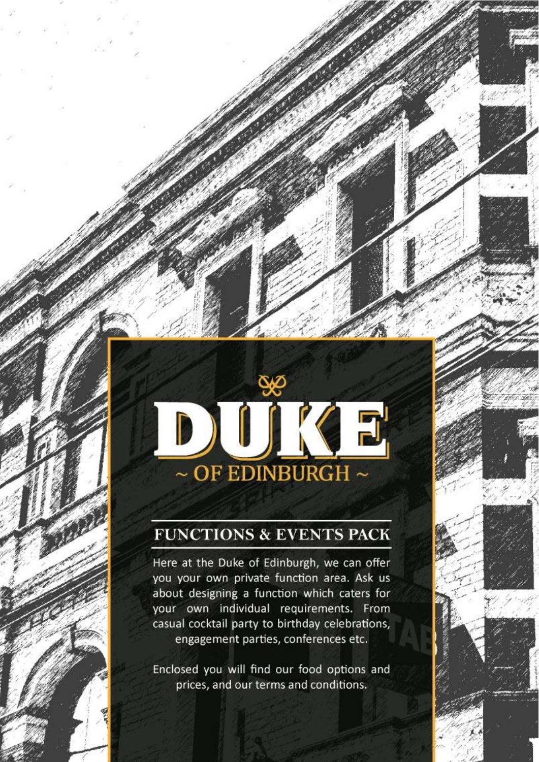

# **FUNCTIONS & EVENTS PACK**

Here at the Duke of Edinburgh, we can offer you your own private function area. Ask us about designing a function which caters for your own individual requirements. From casual cocktail party to birthday celebrations, engagement parties, conferences etc.

Enclosed you will find our food options and prices, and our terms and conditions.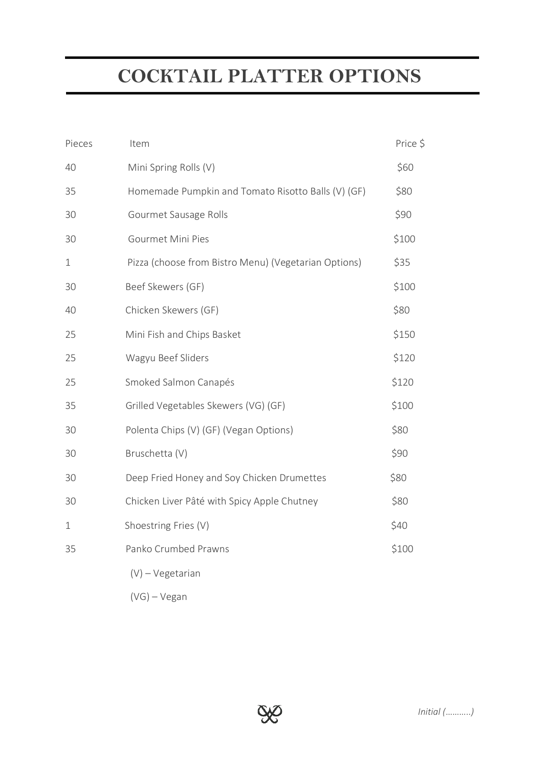# **COCKTAIL PLATTER OPTIONS**

| Pieces      | Item                                                 | Price \$ |
|-------------|------------------------------------------------------|----------|
| 40          | Mini Spring Rolls (V)                                | \$60     |
| 35          | Homemade Pumpkin and Tomato Risotto Balls (V) (GF)   | \$80     |
| 30          | Gourmet Sausage Rolls                                | \$90     |
| 30          | Gourmet Mini Pies                                    | \$100    |
| $\mathbf 1$ | Pizza (choose from Bistro Menu) (Vegetarian Options) | \$35     |
| 30          | Beef Skewers (GF)                                    | \$100    |
| 40          | Chicken Skewers (GF)                                 | \$80     |
| 25          | Mini Fish and Chips Basket                           | \$150    |
| 25          | Wagyu Beef Sliders                                   | \$120    |
| 25          | Smoked Salmon Canapés                                | \$120    |
| 35          | Grilled Vegetables Skewers (VG) (GF)                 | \$100    |
| 30          | Polenta Chips (V) (GF) (Vegan Options)               | \$80     |
| 30          | Bruschetta (V)                                       | \$90     |
| 30          | Deep Fried Honey and Soy Chicken Drumettes           | \$80     |
| 30          | Chicken Liver Pâté with Spicy Apple Chutney          | \$80     |
| 1           | Shoestring Fries (V)                                 | \$40     |
| 35          | Panko Crumbed Prawns                                 | \$100    |
|             | $(V)$ – Vegetarian                                   |          |
|             |                                                      |          |

(VG) – Vegan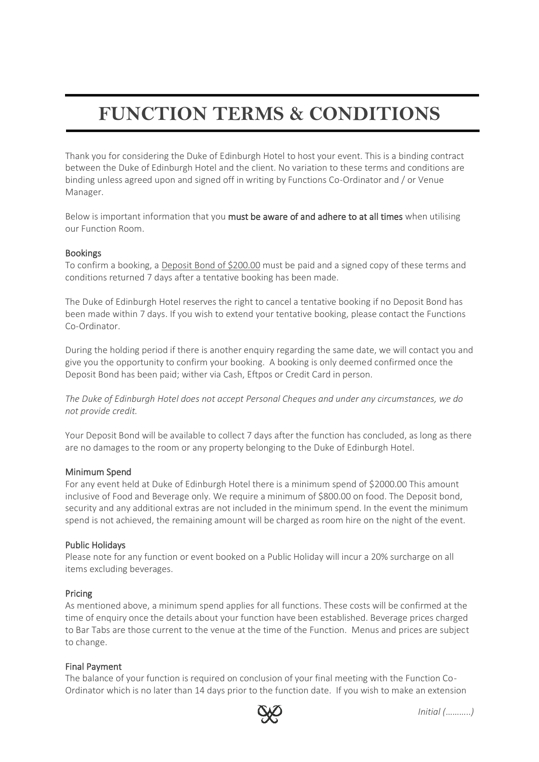# **FUNCTION TERMS & CONDITIONS**

Thank you for considering the Duke of Edinburgh Hotel to host your event. This is a binding contract between the Duke of Edinburgh Hotel and the client. No variation to these terms and conditions are binding unless agreed upon and signed off in writing by Functions Co-Ordinator and / or Venue Manager.

Below is important information that you must be aware of and adhere to at all times when utilising our Function Room.

# Bookings

To confirm a booking, a Deposit Bond of \$200.00 must be paid and a signed copy of these terms and conditions returned 7 days after a tentative booking has been made.

The Duke of Edinburgh Hotel reserves the right to cancel a tentative booking if no Deposit Bond has been made within 7 days. If you wish to extend your tentative booking, please contact the Functions Co-Ordinator.

During the holding period if there is another enquiry regarding the same date, we will contact you and give you the opportunity to confirm your booking. A booking is only deemed confirmed once the Deposit Bond has been paid; wither via Cash, Eftpos or Credit Card in person.

*The Duke of Edinburgh Hotel does not accept Personal Cheques and under any circumstances, we do not provide credit.* 

Your Deposit Bond will be available to collect 7 days after the function has concluded, as long as there are no damages to the room or any property belonging to the Duke of Edinburgh Hotel.

# Minimum Spend

For any event held at Duke of Edinburgh Hotel there is a minimum spend of \$2000.00 This amount inclusive of Food and Beverage only. We require a minimum of \$800.00 on food. The Deposit bond, security and any additional extras are not included in the minimum spend. In the event the minimum spend is not achieved, the remaining amount will be charged as room hire on the night of the event.

# Public Holidays

Please note for any function or event booked on a Public Holiday will incur a 20% surcharge on all items excluding beverages.

# Pricing

As mentioned above, a minimum spend applies for all functions. These costs will be confirmed at the time of enquiry once the details about your function have been established. Beverage prices charged to Bar Tabs are those current to the venue at the time of the Function. Menus and prices are subject to change.

# Final Payment

The balance of your function is required on conclusion of your final meeting with the Function Co-Ordinator which is no later than 14 days prior to the function date. If you wish to make an extension

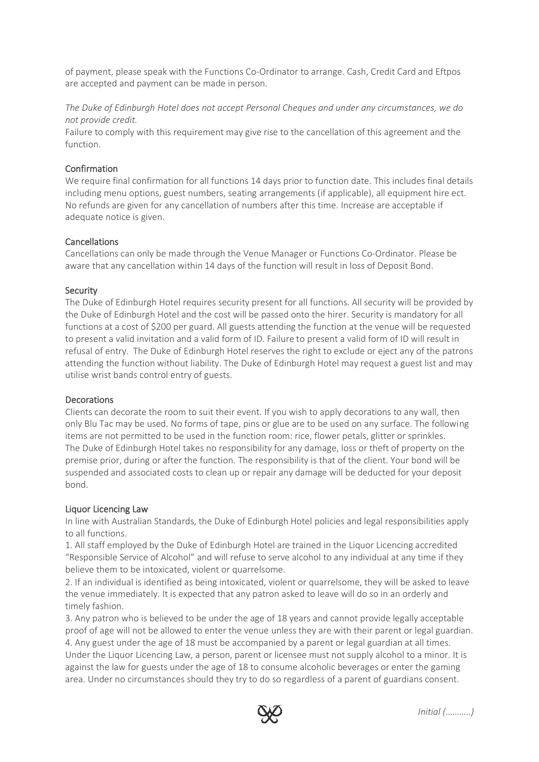of payment, please speak with the Functions Co-Ordinator to arrange. Cash, Credit Card and Eftpos are accepted and payment can be made in person.

*The Duke of Edinburgh Hotel does not accept Personal Cheques and under any circumstances, we do not provide credit.* 

Failure to comply with this requirement may give rise to the cancellation of this agreement and the function.

# Confirmation

We require final confirmation for all functions 14 days prior to function date. This includes final details including menu options, guest numbers, seating arrangements (if applicable), all equipment hire ect. No refunds are given for any cancellation of numbers after this time. Increase are acceptable if adequate notice is given.

#### **Cancellations**

Cancellations can only be made through the Venue Manager or Functions Co-Ordinator. Please be aware that any cancellation within 14 days of the function will result in loss of Deposit Bond.

#### Security

The Duke of Edinburgh Hotel requires security present for all functions. All security will be provided by the Duke of Edinburgh Hotel and the cost will be passed onto the hirer. Security is mandatory for all functions at a cost of \$200 per guard. All guests attending the function at the venue will be requested to present a valid invitation and a valid form of ID. Failure to present a valid form of ID will result in refusal of entry. The Duke of Edinburgh Hotel reserves the right to exclude or eject any of the patrons attending the function without liability. The Duke of Edinburgh Hotel may request a guest list and may utilise wrist bands control entry of guests.

# **Decorations**

Clients can decorate the room to suit their event. If you wish to apply decorations to any wall, then only Blu Tac may be used. No forms of tape, pins or glue are to be used on any surface. The following items are not permitted to be used in the function room: rice, flower petals, glitter or sprinkles. The Duke of Edinburgh Hotel takes no responsibility for any damage, loss or theft of property on the premise prior, during or after the function. The responsibility is that of the client. Your bond will be suspended and associated costs to clean up or repair any damage will be deducted for your deposit bond.

# Liquor Licencing Law

In line with Australian Standards, the Duke of Edinburgh Hotel policies and legal responsibilities apply to all functions.

1. All staff employed by the Duke of Edinburgh Hotel are trained in the Liquor Licencing accredited "Responsible Service of Alcohol" and will refuse to serve alcohol to any individual at any time if they believe them to be intoxicated, violent or quarrelsome.

2. If an individual is identified as being intoxicated, violent or quarrelsome, they will be asked to leave the venue immediately. It is expected that any patron asked to leave will do so in an orderly and timely fashion.

3. Any patron who is believed to be under the age of 18 years and cannot provide legally acceptable proof of age will not be allowed to enter the venue unless they are with their parent or legal guardian. 4. Any guest under the age of 18 must be accompanied by a parent or legal guardian at all times. Under the Liquor Licencing Law, a person, parent or licensee must not supply alcohol to a minor. It is against the law for guests under the age of 18 to consume alcoholic beverages or enter the gaming area. Under no circumstances should they try to do so regardless of a parent of guardians consent.

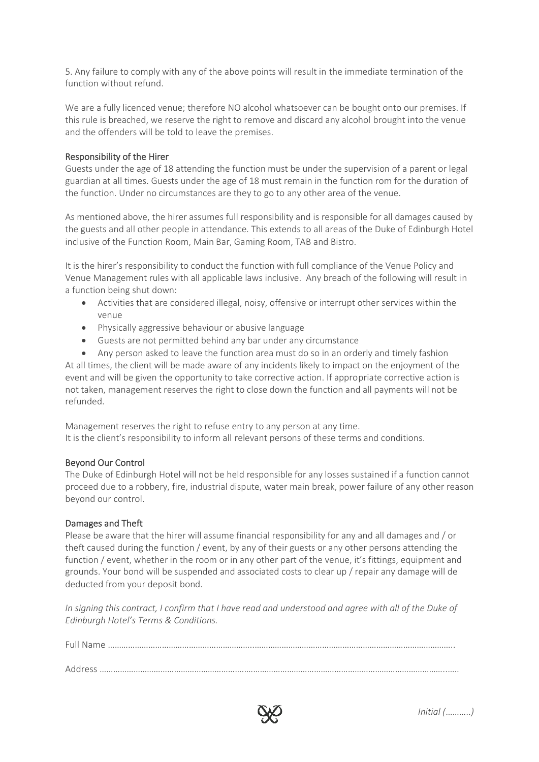5. Any failure to comply with any of the above points will result in the immediate termination of the function without refund.

We are a fully licenced venue; therefore NO alcohol whatsoever can be bought onto our premises. If this rule is breached, we reserve the right to remove and discard any alcohol brought into the venue and the offenders will be told to leave the premises.

# Responsibility of the Hirer

Guests under the age of 18 attending the function must be under the supervision of a parent or legal guardian at all times. Guests under the age of 18 must remain in the function rom for the duration of the function. Under no circumstances are they to go to any other area of the venue.

As mentioned above, the hirer assumes full responsibility and is responsible for all damages caused by the guests and all other people in attendance. This extends to all areas of the Duke of Edinburgh Hotel inclusive of the Function Room, Main Bar, Gaming Room, TAB and Bistro.

It is the hirer's responsibility to conduct the function with full compliance of the Venue Policy and Venue Management rules with all applicable laws inclusive. Any breach of the following will result in a function being shut down:

- Activities that are considered illegal, noisy, offensive or interrupt other services within the venue
- Physically aggressive behaviour or abusive language
- Guests are not permitted behind any bar under any circumstance
- Any person asked to leave the function area must do so in an orderly and timely fashion At all times, the client will be made aware of any incidents likely to impact on the enjoyment of the event and will be given the opportunity to take corrective action. If appropriate corrective action is not taken, management reserves the right to close down the function and all payments will not be refunded.

Management reserves the right to refuse entry to any person at any time. It is the client's responsibility to inform all relevant persons of these terms and conditions.

# Beyond Our Control

The Duke of Edinburgh Hotel will not be held responsible for any losses sustained if a function cannot proceed due to a robbery, fire, industrial dispute, water main break, power failure of any other reason beyond our control.

# Damages and Theft

Please be aware that the hirer will assume financial responsibility for any and all damages and / or theft caused during the function / event, by any of their guests or any other persons attending the function / event, whether in the room or in any other part of the venue, it's fittings, equipment and grounds. Your bond will be suspended and associated costs to clear up / repair any damage will de deducted from your deposit bond.

*In signing this contract, I confirm that I have read and understood and agree with all of the Duke of Edinburgh Hotel's Terms & Conditions.*

Full Name ………………………………………………………..…………………………………………………………………………….. Address ………………………………………………………..……………………………………………………………………………..…..